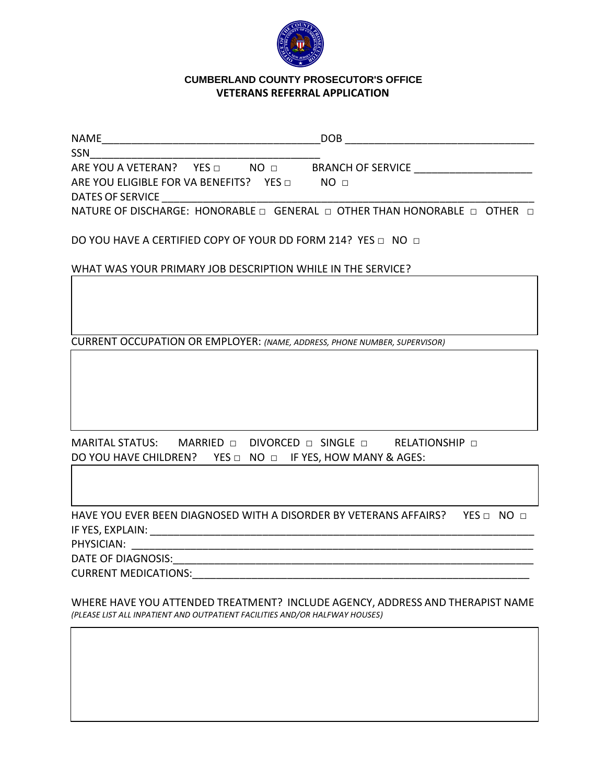

## **CUMBERLAND COUNTY CUMBERLAND COUNTY PROSECUTOR'S OFFICEVETERANS REFERRAL APPLICATION**

| <b>NAME</b>                                  | <b>DOB</b>                                                                |
|----------------------------------------------|---------------------------------------------------------------------------|
| <b>SSN</b>                                   |                                                                           |
| ARE YOU A VETERAN? YES D<br>NO <sub>m</sub>  | <b>BRANCH OF SERVICE</b>                                                  |
| ARE YOU ELIGIBLE FOR VA BENEFITS? YES $\Box$ | NO <sub>II</sub>                                                          |
| DATES OF SERVICE                             |                                                                           |
|                                              | NATURE OF DISCHARGE: HONORABLE □ GENERAL □ OTHER THAN HONORABLE □ OTHER □ |

DO YOU HAVE A CERTIFIED COPY OF YOUR DD FORM 214? YES □ NO □

WHAT WAS YOUR PRIMARY JOB DESCRIPTION WHILE IN THE SERVICE?

CURRENT OCCUPATION OR EMPLOYER: *(NAME, ADDRESS, PHONE NUMBER, SUPERVISOR)*

MARITAL STATUS: MARRIED □ DIVORCED □ SINGLE □ RELATIONSHIP □ DO YOU HAVE CHILDREN? YES □ NO □ IF YES, HOW MANY & AGES:

HAVE YOU EVER BEEN DIAGNOSED WITH A DISORDER BY VETERANS AFFAIRS? YES □ NO □ IF YES, EXPLAIN: \_\_\_\_\_\_\_\_\_\_\_\_\_\_\_\_\_\_\_\_\_\_\_\_\_\_\_\_\_\_\_\_\_\_\_\_\_\_\_\_\_\_\_\_\_\_\_\_\_\_\_\_\_\_\_\_\_\_\_\_\_\_\_\_\_

PHYSICIAN:

DATE OF DIAGNOSIS:

CURRENT MEDICATIONS:\_\_\_\_\_\_\_\_\_\_\_\_\_\_\_\_\_\_\_\_\_\_\_\_\_\_\_\_\_\_\_\_\_\_\_\_\_\_\_\_\_\_\_\_\_\_\_\_\_\_\_\_\_\_\_\_\_

WHERE HAVE YOU ATTENDED TREATMENT? INCLUDE AGENCY, ADDRESS AND THERAPIST NAME *(PLEASE LIST ALL INPATIENT AND OUTPATIENT FACILITIES AND/OR HALFWAY HOUSES)*